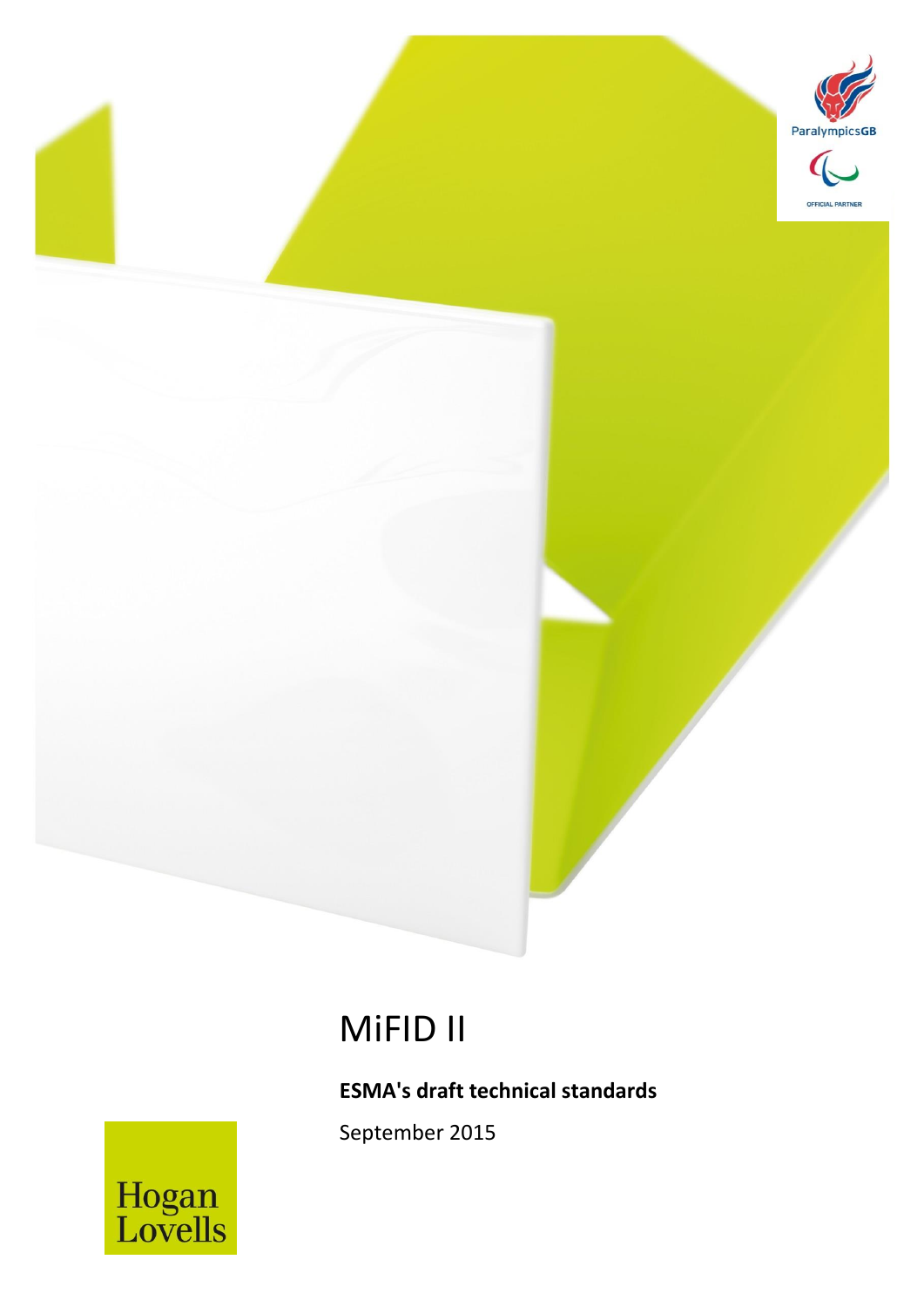

# MiFID II

MiFID II *September 2015* 1

## **ESMA's draft technical standards**

September 2015

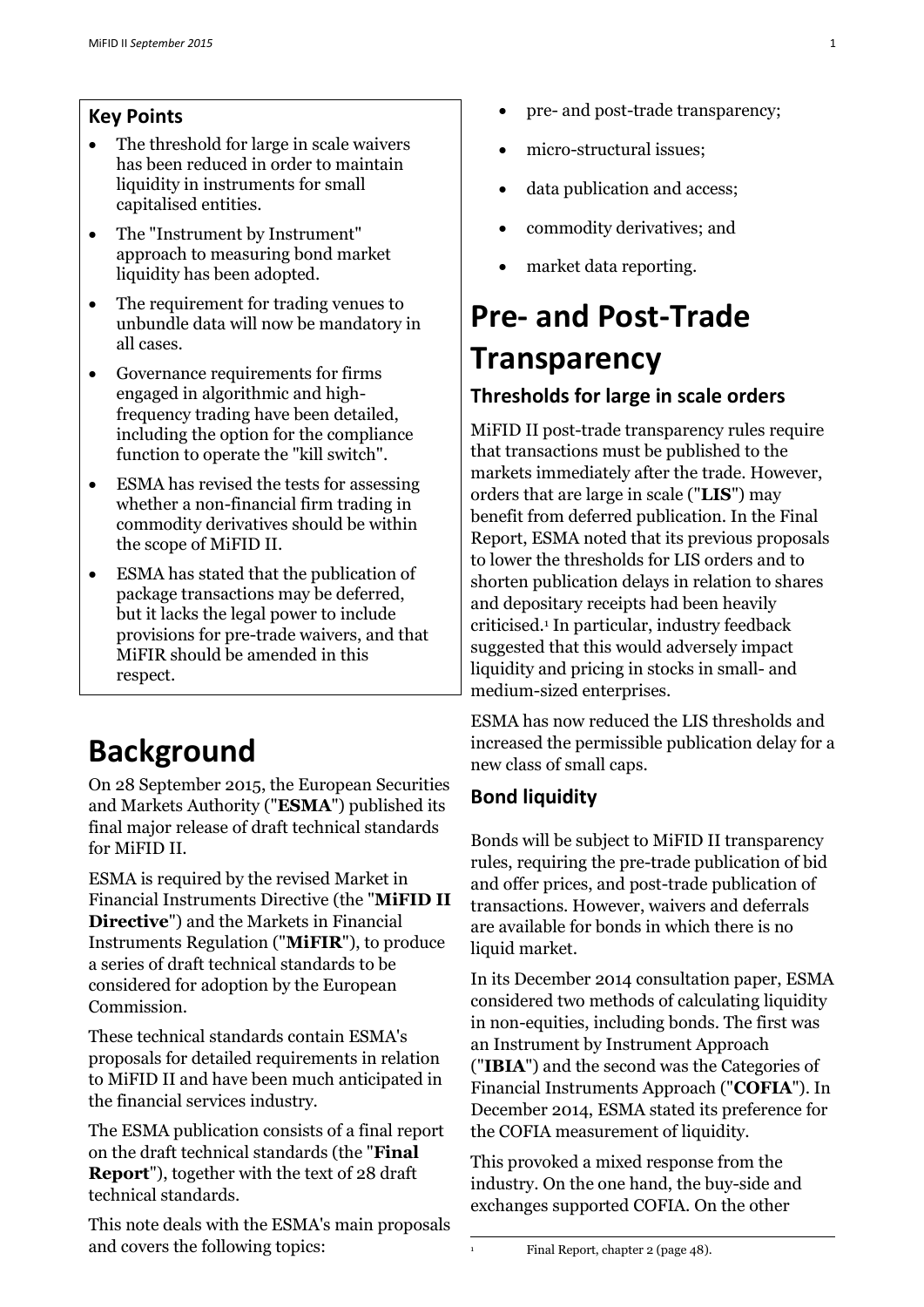## **Key Points**

- The threshold for large in scale waivers has been reduced in order to maintain liquidity in instruments for small capitalised entities.
- The "Instrument by Instrument" approach to measuring bond market liquidity has been adopted.
- The requirement for trading venues to unbundle data will now be mandatory in all cases.
- Governance requirements for firms engaged in algorithmic and highfrequency trading have been detailed, including the option for the compliance function to operate the "kill switch".
- ESMA has revised the tests for assessing whether a non-financial firm trading in commodity derivatives should be within the scope of MiFID II.
- ESMA has stated that the publication of package transactions may be deferred, but it lacks the legal power to include provisions for pre-trade waivers, and that MiFIR should be amended in this respect.

# **Background**

On 28 September 2015, the European Securities and Markets Authority ("**ESMA**") published its final major release of draft technical standards for MiFID II.

ESMA is required by the revised Market in Financial Instruments Directive (the "**MiFID II Directive**") and the Markets in Financial Instruments Regulation ("**MiFIR**"), to produce a series of draft technical standards to be considered for adoption by the European Commission.

These technical standards contain ESMA's proposals for detailed requirements in relation to MiFID II and have been much anticipated in the financial services industry.

The ESMA publication consists of a final report on the draft technical standards (the "**Final Report**"), together with the text of 28 draft technical standards.

This note deals with the ESMA's main proposals and covers the following topics:

- pre- and post-trade transparency;
- micro-structural issues;
- data publication and access;
- commodity derivatives; and
- market data reporting.

# **Pre- and Post-Trade Transparency Thresholds for large in scale orders**

MiFID II post-trade transparency rules require that transactions must be published to the markets immediately after the trade. However, orders that are large in scale ("**LIS**") may benefit from deferred publication. In the Final Report, ESMA noted that its previous proposals to lower the thresholds for LIS orders and to shorten publication delays in relation to shares and depositary receipts had been heavily criticised.<sup>1</sup> In particular, industry feedback suggested that this would adversely impact liquidity and pricing in stocks in small- and medium-sized enterprises.

ESMA has now reduced the LIS thresholds and increased the permissible publication delay for a new class of small caps.

## **Bond liquidity**

Bonds will be subject to MiFID II transparency rules, requiring the pre-trade publication of bid and offer prices, and post-trade publication of transactions. However, waivers and deferrals are available for bonds in which there is no liquid market.

In its December 2014 consultation paper, ESMA considered two methods of calculating liquidity in non-equities, including bonds. The first was an Instrument by Instrument Approach ("**IBIA**") and the second was the Categories of Financial Instruments Approach ("**COFIA**"). In December 2014, ESMA stated its preference for the COFIA measurement of liquidity.

This provoked a mixed response from the industry. On the one hand, the buy-side and exchanges supported COFIA. On the other

 $\mathbf{1}$ 

<sup>1</sup> Final Report, chapter 2 (page 48).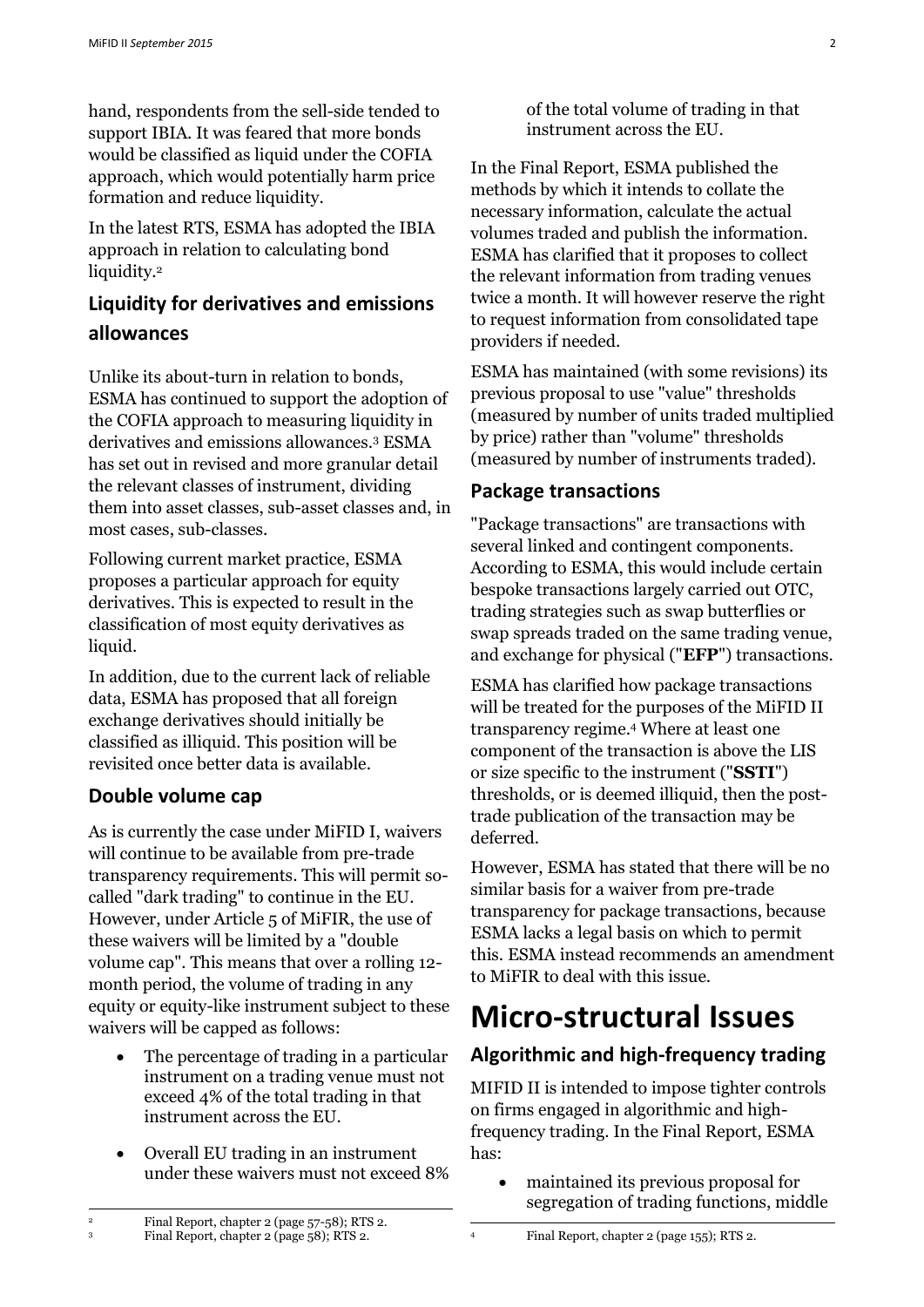hand, respondents from the sell-side tended to support IBIA. It was feared that more bonds would be classified as liquid under the COFIA approach, which would potentially harm price formation and reduce liquidity.

In the latest RTS, ESMA has adopted the IBIA approach in relation to calculating bond liquidity.<sup>2</sup>

## **Liquidity for derivatives and emissions allowances**

Unlike its about-turn in relation to bonds, ESMA has continued to support the adoption of the COFIA approach to measuring liquidity in derivatives and emissions allowances.<sup>3</sup> ESMA has set out in revised and more granular detail the relevant classes of instrument, dividing them into asset classes, sub-asset classes and, in most cases, sub-classes.

Following current market practice, ESMA proposes a particular approach for equity derivatives. This is expected to result in the classification of most equity derivatives as liquid.

In addition, due to the current lack of reliable data, ESMA has proposed that all foreign exchange derivatives should initially be classified as illiquid. This position will be revisited once better data is available.

## **Double volume cap**

As is currently the case under MiFID I, waivers will continue to be available from pre-trade transparency requirements. This will permit socalled "dark trading" to continue in the EU. However, under Article 5 of MiFIR, the use of these waivers will be limited by a "double volume cap". This means that over a rolling 12 month period, the volume of trading in any equity or equity-like instrument subject to these waivers will be capped as follows:

- The percentage of trading in a particular instrument on a trading venue must not exceed 4% of the total trading in that instrument across the EU.
- Overall EU trading in an instrument under these waivers must not exceed 8%

of the total volume of trading in that instrument across the EU.

In the Final Report, ESMA published the methods by which it intends to collate the necessary information, calculate the actual volumes traded and publish the information. ESMA has clarified that it proposes to collect the relevant information from trading venues twice a month. It will however reserve the right to request information from consolidated tape providers if needed.

ESMA has maintained (with some revisions) its previous proposal to use "value" thresholds (measured by number of units traded multiplied by price) rather than "volume" thresholds (measured by number of instruments traded).

#### **Package transactions**

"Package transactions" are transactions with several linked and contingent components. According to ESMA, this would include certain bespoke transactions largely carried out OTC, trading strategies such as swap butterflies or swap spreads traded on the same trading venue, and exchange for physical ("**EFP**") transactions.

ESMA has clarified how package transactions will be treated for the purposes of the MiFID II transparency regime.<sup>4</sup> Where at least one component of the transaction is above the LIS or size specific to the instrument ("**SSTI**") thresholds, or is deemed illiquid, then the posttrade publication of the transaction may be deferred.

However, ESMA has stated that there will be no similar basis for a waiver from pre-trade transparency for package transactions, because ESMA lacks a legal basis on which to permit this. ESMA instead recommends an amendment to MiFIR to deal with this issue.

# **Micro-structural Issues**

## **Algorithmic and high-frequency trading**

MIFID II is intended to impose tighter controls on firms engaged in algorithmic and highfrequency trading. In the Final Report, ESMA has:

 maintained its previous proposal for segregation of trading functions, middle

-

1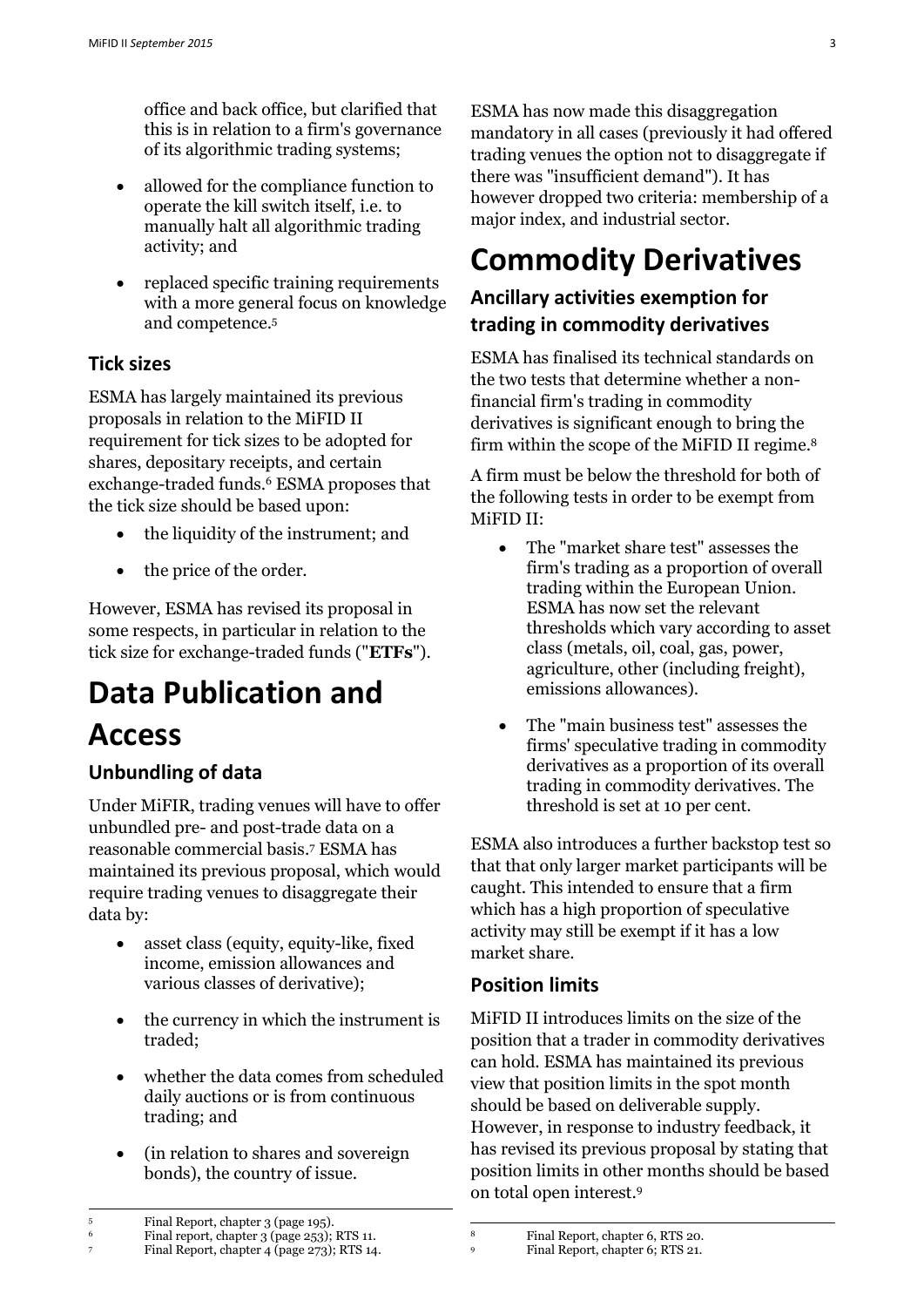office and back office, but clarified that this is in relation to a firm's governance of its algorithmic trading systems;

- allowed for the compliance function to operate the kill switch itself, i.e. to manually halt all algorithmic trading activity; and
- replaced specific training requirements with a more general focus on knowledge and competence.<sup>5</sup>

## **Tick sizes**

ESMA has largely maintained its previous proposals in relation to the MiFID II requirement for tick sizes to be adopted for shares, depositary receipts, and certain exchange-traded funds. <sup>6</sup> ESMA proposes that the tick size should be based upon:

- the liquidity of the instrument; and
- the price of the order.

However, ESMA has revised its proposal in some respects, in particular in relation to the tick size for exchange-traded funds ("**ETFs**").

# **Data Publication and**

## **Access**

-

## **Unbundling of data**

Under MiFIR, trading venues will have to offer unbundled pre- and post-trade data on a reasonable commercial basis. <sup>7</sup> ESMA has maintained its previous proposal, which would require trading venues to disaggregate their data by:

- asset class (equity, equity-like, fixed income, emission allowances and various classes of derivative);
- the currency in which the instrument is traded;
- whether the data comes from scheduled daily auctions or is from continuous trading; and
- (in relation to shares and sovereign bonds), the country of issue.

ESMA has now made this disaggregation mandatory in all cases (previously it had offered trading venues the option not to disaggregate if there was "insufficient demand"). It has however dropped two criteria: membership of a major index, and industrial sector.

# **Commodity Derivatives**

## **Ancillary activities exemption for trading in commodity derivatives**

ESMA has finalised its technical standards on the two tests that determine whether a nonfinancial firm's trading in commodity derivatives is significant enough to bring the firm within the scope of the MiFID II regime. 8

A firm must be below the threshold for both of the following tests in order to be exempt from MiFID II:

- The "market share test" assesses the firm's trading as a proportion of overall trading within the European Union. ESMA has now set the relevant thresholds which vary according to asset class (metals, oil, coal, gas, power, agriculture, other (including freight), emissions allowances).
- The "main business test" assesses the firms' speculative trading in commodity derivatives as a proportion of its overall trading in commodity derivatives. The threshold is set at 10 per cent.

ESMA also introduces a further backstop test so that that only larger market participants will be caught. This intended to ensure that a firm which has a high proportion of speculative activity may still be exempt if it has a low market share.

## **Position limits**

 $^{\rm 8}$ 

MiFID II introduces limits on the size of the position that a trader in commodity derivatives can hold. ESMA has maintained its previous view that position limits in the spot month should be based on deliverable supply. However, in response to industry feedback, it has revised its previous proposal by stating that position limits in other months should be based on total open interest.<sup>9</sup>

<sup>6</sup> Final report, chapter 3 (page 253); RTS 11.<br><sup>7</sup> Final Report, chapter 4 (page 273): RTS 14 <sup>7</sup> Final Report, chapter 4 (page 273); RTS 14. <sup>8</sup> Final Report, chapter 6, RTS 20.<br>Final Report, chapter 6: RTS 21

<sup>9</sup> Final Report, chapter 6; RTS 21.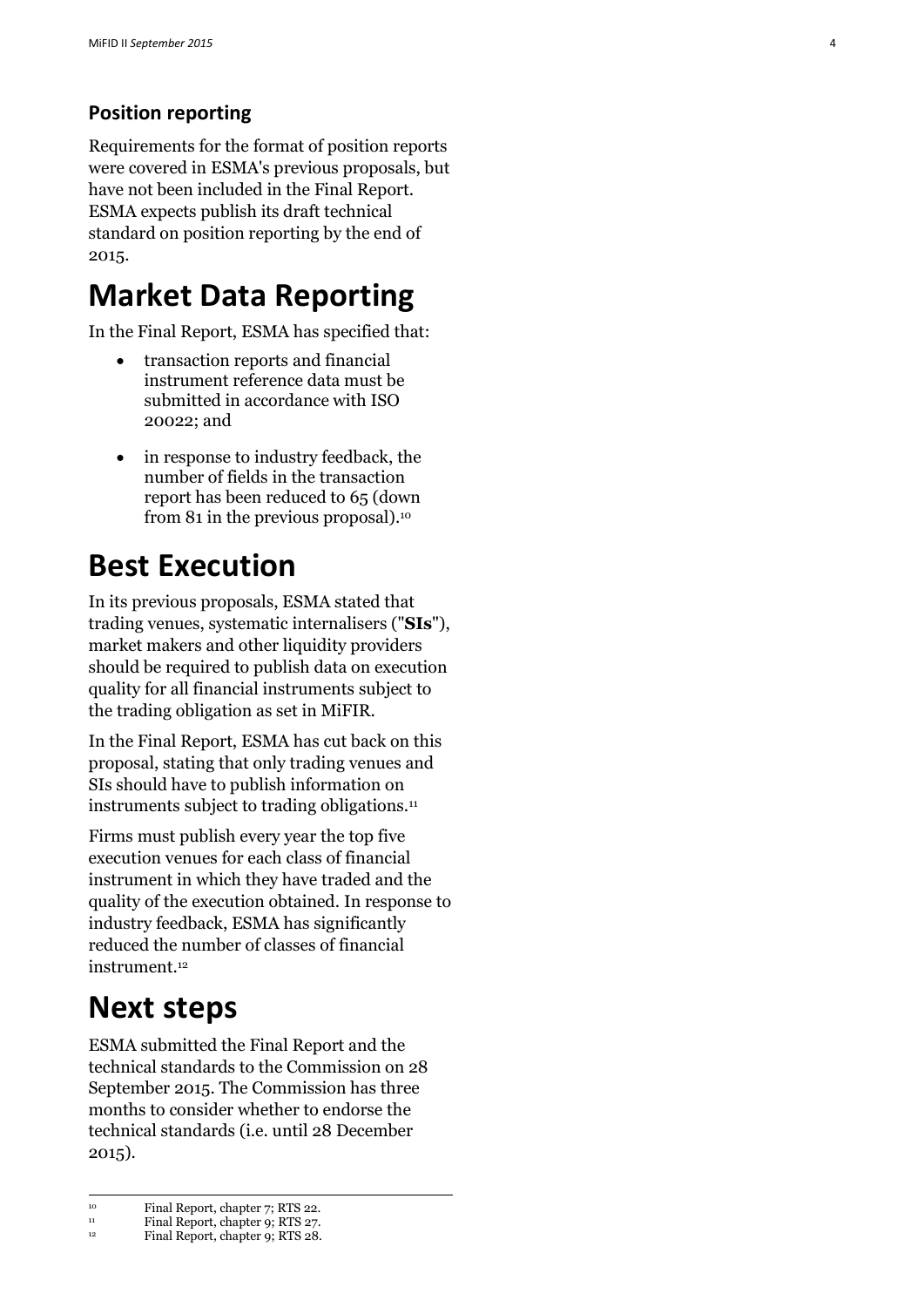## **Position reporting**

Requirements for the format of position reports were covered in ESMA's previous proposals, but have not been included in the Final Report. ESMA expects publish its draft technical standard on position reporting by the end of 2015.

# **Market Data Reporting**

In the Final Report, ESMA has specified that :

- transaction reports and financial instrument reference data must be submitted in accordance with ISO 20022; and
- in response to industry feedback, the number of fields in the transaction report has been reduced to 65 (down from 81 in the previous proposal).<sup>10</sup>

# **Best Execution**

In its previous proposals, ESMA stated that trading venues, systematic internalisers ("**SIs**"), market makers and other liquidity providers should be required to publish data on execution quality for all financial instruments subject to the trading obligation as set in MiFIR.

In the Final Report, ESMA has cut back on this proposal, stating that only trading venues and SIs should have to publish information on instruments subject to trading obligations.<sup>11</sup>

Firms must publish every year the top five execution venues for each class of financial instrument in which they have traded and the quality of the execution obtained. In response to industry feedback, ESMA has significantly reduced the number of classes of financial instrument.<sup>12</sup>

# **Next steps**

-

ESMA submitted the Final Report and the technical standards to the Commission on 28 September 2015. The Commission has three months to consider whether to endorse the technical standards (i.e. until 28 December 2015 ) .

<sup>&</sup>lt;sup>10</sup> Final Report, chapter 7; RTS 22.<br>Final Report, chapter 0: RTS 27.

Final Report, chapter 9; RTS 27.

<sup>&</sup>lt;sup>12</sup> Final Report, chapter 9; RTS 28.